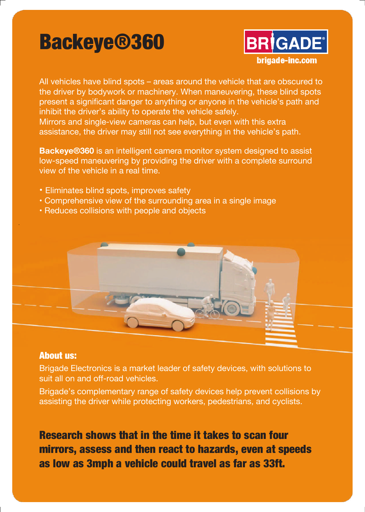## Backeye®360



All vehicles have blind spots – areas around the vehicle that are obscured to the driver by bodywork or machinery. When maneuvering, these blind spots present a significant danger to anything or anyone in the vehicle's path and inhibit the driver's ability to operate the vehicle safely.

Mirrors and single-view cameras can help, but even with this extra assistance, the driver may still not see everything in the vehicle's path.

**Backeye®360** is an intelligent camera monitor system designed to assist low-speed maneuvering by providing the driver with a complete surround view of the vehicle in a real time.

- Eliminates blind spots, improves safety
- Comprehensive view of the surrounding area in a single image
- Reduces collisions with people and objects



## About us:

.

Brigade Electronics is a market leader of safety devices, with solutions to suit all on and off-road vehicles.

Brigade's complementary range of safety devices help prevent collisions by assisting the driver while protecting workers, pedestrians, and cyclists.

Research shows that in the time it takes to scan four mirrors, assess and then react to hazards, even at speeds as low as 3mph a vehicle could travel as far as 33ft.